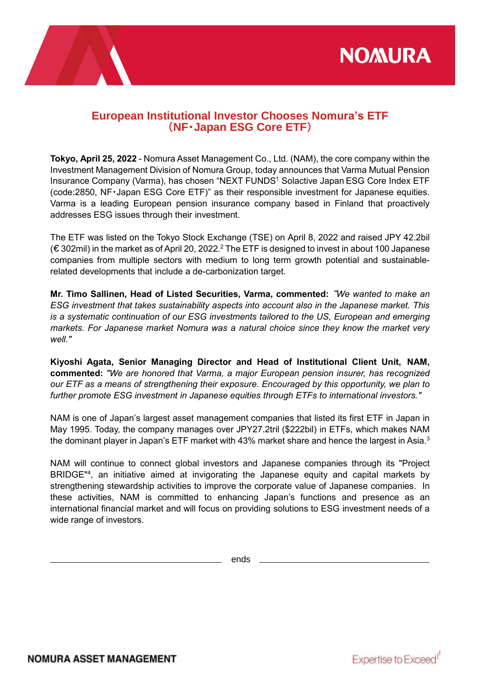



# **European Institutional Investor Chooses Nomura's ETF** (**NF**・**Japan ESG Core ETF**)

**Tokyo, April 25, 2022** - Nomura Asset Management Co., Ltd. (NAM), the core company within the Investment Management Division of Nomura Group, today announces that Varma Mutual Pension Insurance Company (Varma), has chosen "NEXT FUNDS<sup>1</sup> Solactive Japan ESG Core Index ETF (code:2850, NF・Japan ESG Core ETF)" as their responsible investment for Japanese equities. Varma is a leading European pension insurance company based in Finland that proactively addresses ESG issues through their investment.

The ETF was listed on the Tokyo Stock Exchange (TSE) on April 8, 2022 and raised JPY 42.2bil (€ 302mil) in the market as of April 20, 2022.<sup>2</sup> The ETF is designed to invest in about 100 Japanese companies from multiple sectors with medium to long term growth potential and sustainablerelated developments that include a de-carbonization target.

**Mr. Timo Sallinen, Head of Listed Securities, Varma, commented:** "*We wanted to make an ESG investment that takes sustainability aspects into account also in the Japanese market. This is a systematic continuation of our ESG investments tailored to the US, European and emerging markets. For Japanese market Nomura was a natural choice since they know the market very well."*

**Kiyoshi Agata, Senior Managing Director and Head of Institutional Client Unit, NAM, commented:** *"We are honored that Varma, a major European pension insurer, has recognized our ETF as a means of strengthening their exposure. Encouraged by this opportunity, we plan to further promote ESG investment in Japanese equities through ETFs to international investors."*

NAM is one of Japan's largest asset management companies that listed its first ETF in Japan in May 1995. Today, the company manages over JPY27.2tril (\$222bil) in ETFs, which makes NAM the dominant player in Japan's ETF market with 43% market share and hence the largest in Asia. $^3$ 

NAM will continue to connect global investors and Japanese companies through its "Project BRIDGE"<sup>4</sup> , an initiative aimed at invigorating the Japanese equity and capital markets by strengthening stewardship activities to improve the corporate value of Japanese companies. In these activities, NAM is committed to enhancing Japan's functions and presence as an international financial market and will focus on providing solutions to ESG investment needs of a wide range of investors.

ends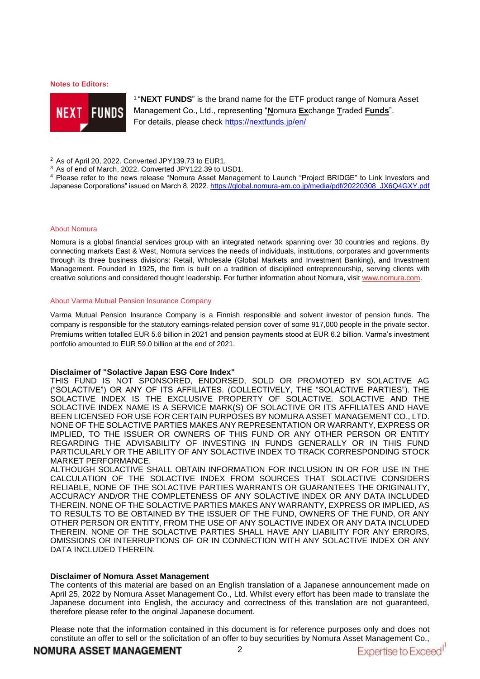**Notes to Editors:** 



<sup>1</sup> "NEXT FUNDS" is the brand name for the ETF product range of Nomura Asset Management Co., Ltd., representing "**N**omura **Ex**change **T**raded **Funds**". For details, please check<https://nextfunds.jp/en/>

<sup>2</sup> As of April 20, 2022. Converted JPY139.73 to EUR1.

<sup>3</sup> As of end of March, 2022. Converted JPY122.39 to USD1.

<sup>4</sup> Please refer to the news release "Nomura Asset Management to Launch "Project BRIDGE" to Link Investors and Japanese Corporations" issued on March 8, 2022. [https://global.nomura-am.co.jp/media/pdf/20220308\\_JX6Q4GXY.pdf](https://global.nomura-am.co.jp/media/pdf/20220308_JX6Q4GXY.pdf)

#### About Nomura

Nomura is a global financial services group with an integrated network spanning over 30 countries and regions. By connecting markets East & West, Nomura services the needs of individuals, institutions, corporates and governments through its three business divisions: Retail, Wholesale (Global Markets and Investment Banking), and Investment Management. Founded in 1925, the firm is built on a tradition of disciplined entrepreneurship, serving clients with creative solutions and considered thought leadership. For further information about Nomura, visit [www.nomura.com.](https://www.nomura.com/)

#### About Varma Mutual Pension Insurance Company

Varma Mutual Pension Insurance Company is a Finnish responsible and solvent investor of pension funds. The company is responsible for the statutory earnings-related pension cover of some 917,000 people in the private sector. Premiums written totalled EUR 5.6 billion in 2021 and pension payments stood at EUR 6.2 billion. Varma's investment portfolio amounted to EUR 59.0 billion at the end of 2021.

#### **Disclaimer of "Solactive Japan ESG Core Index"**

THIS FUND IS NOT SPONSORED, ENDORSED, SOLD OR PROMOTED BY SOLACTIVE AG ("SOLACTIVE") OR ANY OF ITS AFFILIATES. (COLLECTIVELY, THE "SOLACTIVE PARTIES"). THE SOLACTIVE INDEX IS THE EXCLUSIVE PROPERTY OF SOLACTIVE. SOLACTIVE AND THE SOLACTIVE INDEX NAME IS A SERVICE MARK(S) OF SOLACTIVE OR ITS AFFILIATES AND HAVE BEEN LICENSED FOR USE FOR CERTAIN PURPOSES BY NOMURA ASSET MANAGEMENT CO., LTD. NONE OF THE SOLACTIVE PARTIES MAKES ANY REPRESENTATION OR WARRANTY, EXPRESS OR IMPLIED, TO THE ISSUER OR OWNERS OF THIS FUND OR ANY OTHER PERSON OR ENTITY REGARDING THE ADVISABILITY OF INVESTING IN FUNDS GENERALLY OR IN THIS FUND PARTICULARLY OR THE ABILITY OF ANY SOLACTIVE INDEX TO TRACK CORRESPONDING STOCK MARKET PERFORMANCE.

ALTHOUGH SOLACTIVE SHALL OBTAIN INFORMATION FOR INCLUSION IN OR FOR USE IN THE CALCULATION OF THE SOLACTIVE INDEX FROM SOURCES THAT SOLACTIVE CONSIDERS RELIABLE, NONE OF THE SOLACTIVE PARTIES WARRANTS OR GUARANTEES THE ORIGINALITY, ACCURACY AND/OR THE COMPLETENESS OF ANY SOLACTIVE INDEX OR ANY DATA INCLUDED THEREIN. NONE OF THE SOLACTIVE PARTIES MAKES ANY WARRANTY, EXPRESS OR IMPLIED, AS TO RESULTS TO BE OBTAINED BY THE ISSUER OF THE FUND, OWNERS OF THE FUND, OR ANY OTHER PERSON OR ENTITY, FROM THE USE OF ANY SOLACTIVE INDEX OR ANY DATA INCLUDED THEREIN. NONE OF THE SOLACTIVE PARTIES SHALL HAVE ANY LIABILITY FOR ANY ERRORS, OMISSIONS OR INTERRUPTIONS OF OR IN CONNECTION WITH ANY SOLACTIVE INDEX OR ANY DATA INCLUDED THEREIN.

## **Disclaimer of Nomura Asset Management**

The contents of this material are based on an English translation of a Japanese announcement made on April 25, 2022 by Nomura Asset Management Co., Ltd. Whilst every effort has been made to translate the Japanese document into English, the accuracy and correctness of this translation are not guaranteed, therefore please refer to the original Japanese document.

Please note that the information contained in this document is for reference purposes only and does not constitute an offer to sell or the solicitation of an offer to buy securities by Nomura Asset Management Co.,<br>**MURA ASSET MANAGEMENT** 2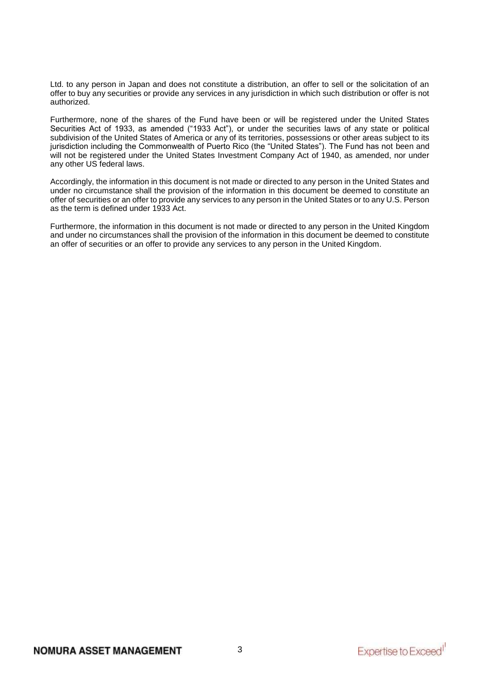Ltd. to any person in Japan and does not constitute a distribution, an offer to sell or the solicitation of an offer to buy any securities or provide any services in any jurisdiction in which such distribution or offer is not authorized.

Furthermore, none of the shares of the Fund have been or will be registered under the United States Securities Act of 1933, as amended ("1933 Act"), or under the securities laws of any state or political subdivision of the United States of America or any of its territories, possessions or other areas subject to its jurisdiction including the Commonwealth of Puerto Rico (the "United States"). The Fund has not been and will not be registered under the United States Investment Company Act of 1940, as amended, nor under any other US federal laws.

Accordingly, the information in this document is not made or directed to any person in the United States and under no circumstance shall the provision of the information in this document be deemed to constitute an offer of securities or an offer to provide any services to any person in the United States or to any U.S. Person as the term is defined under 1933 Act.

Furthermore, the information in this document is not made or directed to any person in the United Kingdom and under no circumstances shall the provision of the information in this document be deemed to constitute an offer of securities or an offer to provide any services to any person in the United Kingdom.